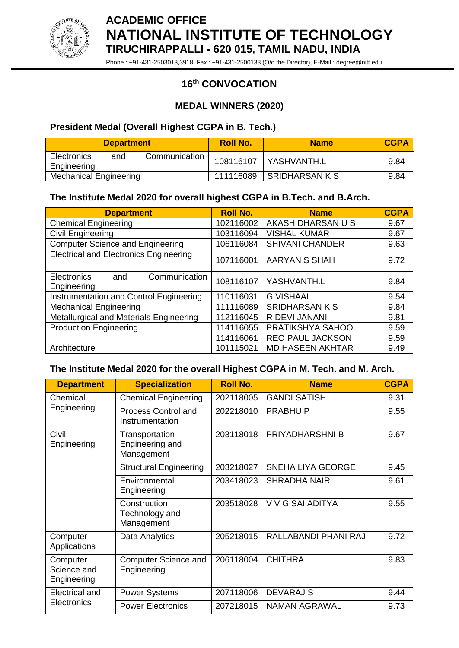

**ACADEMIC OFFICE NATIONAL INSTITUTE OF TECHNOLOGY TIRUCHIRAPPALLI - 620 015, TAMIL NADU, INDIA**

Phone : +91-431-2503013,3918, Fax : +91-431-2500133 (O/o the Director), E-Mail : degree@nitt.edu

# **16 th CONVOCATION**

## **MEDAL WINNERS (2020)**

## **President Medal (Overall Highest CGPA in B. Tech.)**

| <b>Department</b>                 |     | <b>Roll No.</b> | <b>Name</b>           | <b>CGPA</b> |      |
|-----------------------------------|-----|-----------------|-----------------------|-------------|------|
| <b>Electronics</b><br>Engineering | and | Communication   | 108116107             | YASHVANTH.L | 9.84 |
| <b>Mechanical Engineering</b>     |     | 111116089       | <b>SRIDHARSAN K S</b> | 9.84        |      |

#### **The Institute Medal 2020 for overall highest CGPA in B.Tech. and B.Arch.**

| <b>Department</b>                                         | <b>Roll No.</b> | <b>Name</b>             | <b>CGPA</b> |
|-----------------------------------------------------------|-----------------|-------------------------|-------------|
| <b>Chemical Engineering</b>                               | 102116002       | AKASH DHARSAN U S       | 9.67        |
| <b>Civil Engineering</b>                                  | 103116094       | <b>VISHAL KUMAR</b>     | 9.67        |
| <b>Computer Science and Engineering</b>                   | 106116084       | <b>SHIVANI CHANDER</b>  | 9.63        |
| <b>Electrical and Electronics Engineering</b>             | 107116001       | <b>AARYAN S SHAH</b>    | 9.72        |
| Communication<br><b>Electronics</b><br>and<br>Engineering | 108116107       | YASHVANTH.L             | 9.84        |
| Instrumentation and Control Engineering                   | 110116031       | <b>G VISHAAL</b>        | 9.54        |
| <b>Mechanical Engineering</b>                             | 111116089       | <b>SRIDHARSAN K S</b>   | 9.84        |
| Metallurgical and Materials Engineering                   | 112116045       | R DEVI JANANI           | 9.81        |
| <b>Production Engineering</b>                             | 114116055       | PRATIKSHYA SAHOO        | 9.59        |
|                                                           | 114116061       | <b>REO PAUL JACKSON</b> | 9.59        |
| Architecture                                              | 101115021       | <b>MD HASEEN AKHTAR</b> | 9.49        |

#### **The Institute Medal 2020 for the overall Highest CGPA in M. Tech. and M. Arch.**

| <b>Department</b>                      | <b>Specialization</b>                           | <b>Roll No.</b> | <b>Name</b>              | <b>CGPA</b> |
|----------------------------------------|-------------------------------------------------|-----------------|--------------------------|-------------|
| Chemical<br>Engineering                | <b>Chemical Engineering</b>                     | 202118005       | <b>GANDI SATISH</b>      | 9.31        |
|                                        | Process Control and<br>Instrumentation          | 202218010       | <b>PRABHUP</b>           | 9.55        |
| Civil<br>Engineering                   | Transportation<br>Engineering and<br>Management | 203118018       | <b>PRIYADHARSHNI B</b>   | 9.67        |
|                                        | <b>Structural Engineering</b>                   | 203218027       | <b>SNEHA LIYA GEORGE</b> | 9.45        |
|                                        | Environmental<br>Engineering                    | 203418023       | <b>SHRADHA NAIR</b>      | 9.61        |
|                                        | Construction<br>Technology and<br>Management    | 203518028       | V V G SAI ADITYA         | 9.55        |
| Computer<br>Applications               | Data Analytics                                  | 205218015       | RALLABANDI PHANI RAJ     | 9.72        |
| Computer<br>Science and<br>Engineering | <b>Computer Science and</b><br>Engineering      | 206118004       | <b>CHITHRA</b>           | 9.83        |
| <b>Electrical and</b>                  | <b>Power Systems</b>                            | 207118006       | <b>DEVARAJ S</b>         | 9.44        |
| <b>Electronics</b>                     | <b>Power Electronics</b>                        | 207218015       | <b>NAMAN AGRAWAL</b>     | 9.73        |